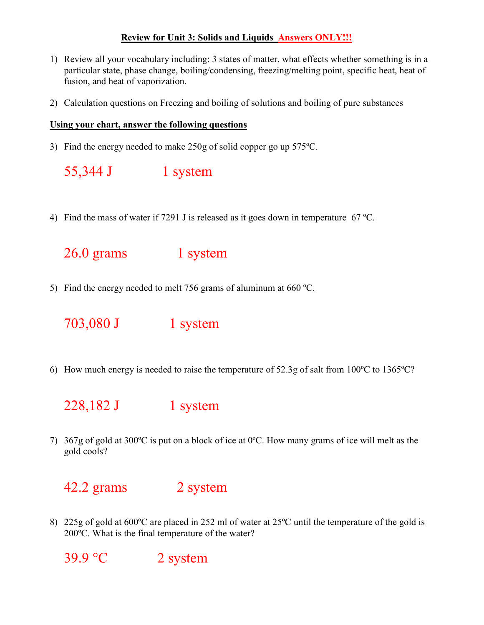## **Review for Unit 3: Solids and Liquids Answers ONLY!!!**

- 1) Review all your vocabulary including: 3 states of matter, what effects whether something is in a particular state, phase change, boiling/condensing, freezing/melting point, specific heat, heat of fusion, and heat of vaporization.
- 2) Calculation questions on Freezing and boiling of solutions and boiling of pure substances

## **Using your chart, answer the following questions**

3) Find the energy needed to make 250g of solid copper go up 575ºC.

| 55,344 J | 1 system |
|----------|----------|
|          |          |

4) Find the mass of water if 7291 J is released as it goes down in temperature 67 ºC.

26.0 grams 1 system

5) Find the energy needed to melt 756 grams of aluminum at 660 ºC.

703,080 J 1 system

6) How much energy is needed to raise the temperature of 52.3g of salt from 100ºC to 1365ºC?

228,182 J 1 system

7) 367g of gold at 300ºC is put on a block of ice at 0ºC. How many grams of ice will melt as the gold cools?

## 42.2 grams 2 system

8) 225g of gold at 600ºC are placed in 252 ml of water at 25ºC until the temperature of the gold is 200ºC. What is the final temperature of the water?

 $39.9 \text{ °C}$  2 system